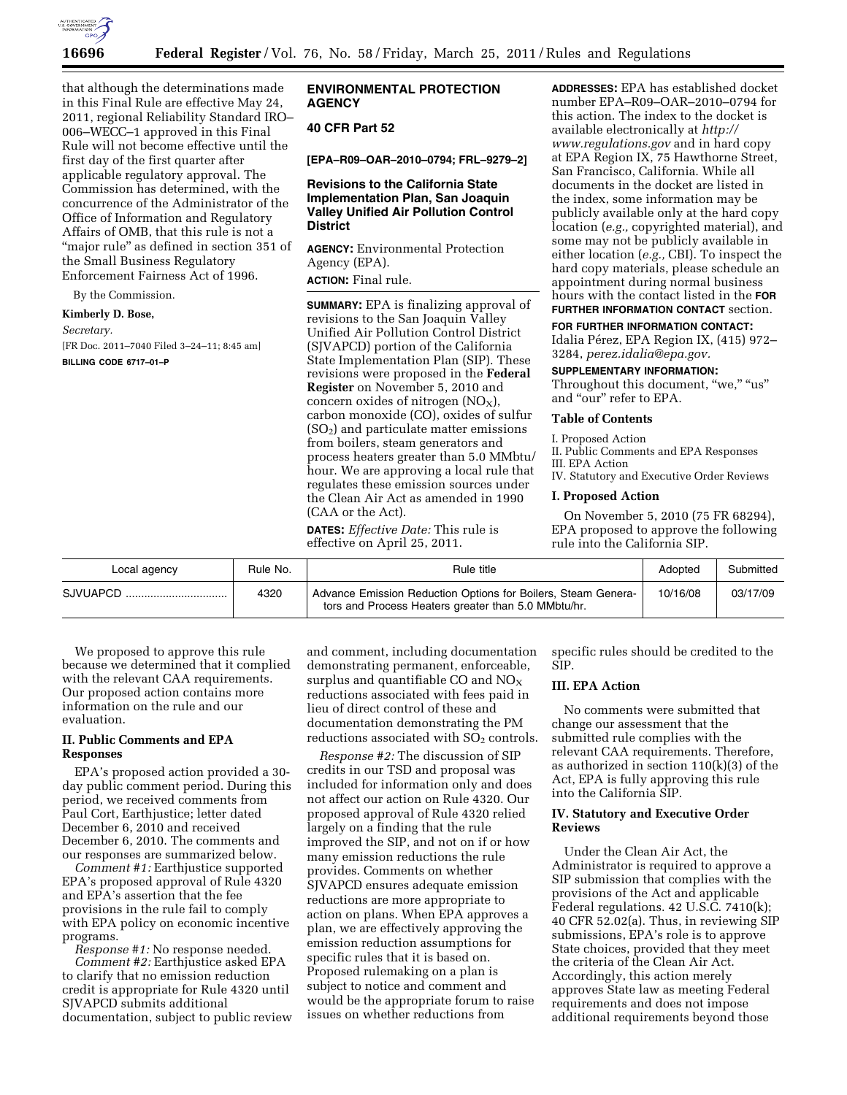

that although the determinations made in this Final Rule are effective May 24, 2011, regional Reliability Standard IRO– 006–WECC–1 approved in this Final Rule will not become effective until the first day of the first quarter after applicable regulatory approval. The Commission has determined, with the concurrence of the Administrator of the Office of Information and Regulatory Affairs of OMB, that this rule is not a "major rule" as defined in section 351 of the Small Business Regulatory Enforcement Fairness Act of 1996.

By the Commission.

**Kimberly D. Bose,** 

# *Secretary.*

[FR Doc. 2011–7040 Filed 3–24–11; 8:45 am]

**BILLING CODE 6717–01–P** 

# **ENVIRONMENTAL PROTECTION AGENCY**

# **40 CFR Part 52**

**[EPA–R09–OAR–2010–0794; FRL–9279–2]** 

# **Revisions to the California State Implementation Plan, San Joaquin Valley Unified Air Pollution Control District**

**AGENCY:** Environmental Protection Agency (EPA).

**ACTION:** Final rule.

**SUMMARY:** EPA is finalizing approval of revisions to the San Joaquin Valley Unified Air Pollution Control District (SJVAPCD) portion of the California State Implementation Plan (SIP). These revisions were proposed in the **Federal Register** on November 5, 2010 and concern oxides of nitrogen  $(NO<sub>X</sub>)$ , carbon monoxide (CO), oxides of sulfur  $(SO<sub>2</sub>)$  and particulate matter emissions from boilers, steam generators and process heaters greater than 5.0 MMbtu/ hour. We are approving a local rule that regulates these emission sources under the Clean Air Act as amended in 1990 (CAA or the Act).

**DATES:** *Effective Date:* This rule is effective on April 25, 2011.

**ADDRESSES:** EPA has established docket number EPA–R09–OAR–2010–0794 for this action. The index to the docket is available electronically at *[http://](http://www.regulations.gov)  [www.regulations.gov](http://www.regulations.gov)* and in hard copy at EPA Region IX, 75 Hawthorne Street, San Francisco, California. While all documents in the docket are listed in the index, some information may be publicly available only at the hard copy location (*e.g.,* copyrighted material), and some may not be publicly available in either location (*e.g.,* CBI). To inspect the hard copy materials, please schedule an appointment during normal business hours with the contact listed in the **FOR FURTHER INFORMATION CONTACT** section.

**FOR FURTHER INFORMATION CONTACT:** 

Idalia Pérez, EPA Region IX, (415) 972– 3284, *[perez.idalia@epa.gov.](mailto:perez.idalia@epa.gov)* 

#### **SUPPLEMENTARY INFORMATION:**

Throughout this document, "we," "us" and "our" refer to EPA.

### **Table of Contents**

I. Proposed Action

II. Public Comments and EPA Responses III. EPA Action

IV. Statutory and Executive Order Reviews

#### **I. Proposed Action**

On November 5, 2010 (75 FR 68294), EPA proposed to approve the following rule into the California SIP.

| Local agency | Rule No. | Rule title                                                                                                           | Adopted  | Submitted |
|--------------|----------|----------------------------------------------------------------------------------------------------------------------|----------|-----------|
| SJVUAPCD     | 4320     | Advance Emission Reduction Options for Boilers, Steam Genera-<br>tors and Process Heaters greater than 5.0 MMbtu/hr. | 10/16/08 | 03/17/09  |

We proposed to approve this rule because we determined that it complied with the relevant CAA requirements. Our proposed action contains more information on the rule and our evaluation.

## **II. Public Comments and EPA Responses**

EPA's proposed action provided a 30 day public comment period. During this period, we received comments from Paul Cort, Earthjustice; letter dated December 6, 2010 and received December 6, 2010. The comments and our responses are summarized below.

*Comment #1:* Earthjustice supported EPA's proposed approval of Rule 4320 and EPA's assertion that the fee provisions in the rule fail to comply with EPA policy on economic incentive programs.

*Response #1:* No response needed. *Comment #2:* Earthjustice asked EPA to clarify that no emission reduction credit is appropriate for Rule 4320 until SJVAPCD submits additional documentation, subject to public review

and comment, including documentation demonstrating permanent, enforceable, surplus and quantifiable CO and  $NO<sub>X</sub>$ reductions associated with fees paid in lieu of direct control of these and documentation demonstrating the PM reductions associated with  $SO<sub>2</sub>$  controls.

*Response #2:* The discussion of SIP credits in our TSD and proposal was included for information only and does not affect our action on Rule 4320. Our proposed approval of Rule 4320 relied largely on a finding that the rule improved the SIP, and not on if or how many emission reductions the rule provides. Comments on whether SJVAPCD ensures adequate emission reductions are more appropriate to action on plans. When EPA approves a plan, we are effectively approving the emission reduction assumptions for specific rules that it is based on. Proposed rulemaking on a plan is subject to notice and comment and would be the appropriate forum to raise issues on whether reductions from

specific rules should be credited to the SIP.

# **III. EPA Action**

No comments were submitted that change our assessment that the submitted rule complies with the relevant CAA requirements. Therefore, as authorized in section 110(k)(3) of the Act, EPA is fully approving this rule into the California SIP.

# **IV. Statutory and Executive Order Reviews**

Under the Clean Air Act, the Administrator is required to approve a SIP submission that complies with the provisions of the Act and applicable Federal regulations. 42 U.S.C. 7410(k); 40 CFR 52.02(a). Thus, in reviewing SIP submissions, EPA's role is to approve State choices, provided that they meet the criteria of the Clean Air Act. Accordingly, this action merely approves State law as meeting Federal requirements and does not impose additional requirements beyond those